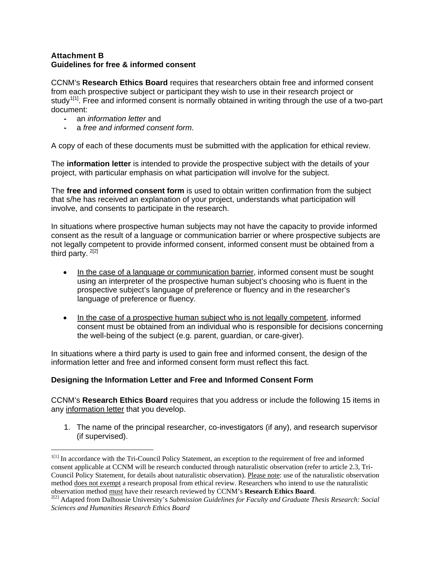#### **Attachment B Guidelines for free & informed consent**

CCNM's **Research Ethics Board** requires that researchers obtain free and informed consent from each prospective subject or participant they wish to use in their research project or study<sup> $1[1]$  $1[1]$ </sup>. Free and informed consent is normally obtained in writing through the use of a two-part document:

**-** an *information letter* and

**-** a *free and informed consent form*.

A copy of each of these documents must be submitted with the application for ethical review.

The **information letter** is intended to provide the prospective subject with the details of your project, with particular emphasis on what participation will involve for the subject.

The **free and informed consent form** is used to obtain written confirmation from the subject that s/he has received an explanation of your project, understands what participation will involve, and consents to participate in the research.

In situations where prospective human subjects may not have the capacity to provide informed consent as the result of a language or communication barrier or where prospective subjects are not legally competent to provide informed consent, informed consent must be obtained from a third party. [2](#page-0-1)[2]

- In the case of a language or communication barrier, informed consent must be sought using an interpreter of the prospective human subject's choosing who is fluent in the prospective subject's language of preference or fluency and in the researcher's language of preference or fluency.
- In the case of a prospective human subject who is not legally competent, informed consent must be obtained from an individual who is responsible for decisions concerning the well-being of the subject (e.g. parent, guardian, or care-giver).

In situations where a third party is used to gain free and informed consent, the design of the information letter and free and informed consent form must reflect this fact.

## **Designing the Information Letter and Free and Informed Consent Form**

CCNM's **Research Ethics Board** requires that you address or include the following 15 items in any information letter that you develop.

1. The name of the principal researcher, co-investigators (if any), and research supervisor (if supervised).

<span id="page-0-0"></span><sup>&</sup>lt;sup>1[1]</sup> In accordance with the Tri-Council Policy Statement, an exception to the requirement of free and informed consent applicable at CCNM will be research conducted through naturalistic observation (refer to article 2.3, Tri-Council Policy Statement, for details about naturalistic observation). Please note: use of the naturalistic observation method <u>does not exempt</u> a research proposal from ethical review. Researchers who intend to use the naturalistic observation method must have their research reviewed by CCNM's **Research Ethics Board**.

<span id="page-0-1"></span><sup>&</sup>lt;sup>2[2]</sup> Adapted from Dalhousie University's *Submission Guidelines for Faculty and Graduate Thesis Research: Social Sciences and Humanities Research Ethics Board*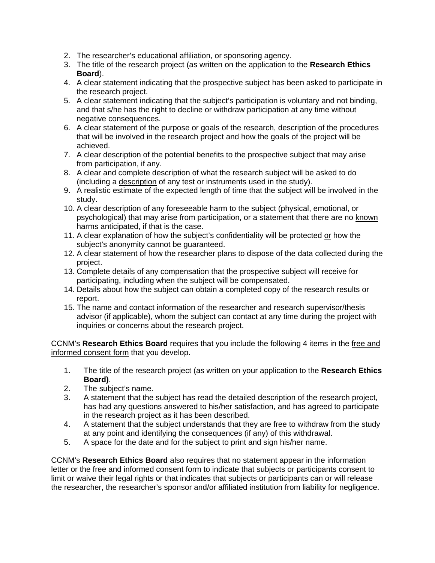- 2. The researcher's educational affiliation, or sponsoring agency.
- 3. The title of the research project (as written on the application to the **Research Ethics Board**).
- 4. A clear statement indicating that the prospective subject has been asked to participate in the research project.
- 5. A clear statement indicating that the subject's participation is voluntary and not binding, and that s/he has the right to decline or withdraw participation at any time without negative consequences.
- 6. A clear statement of the purpose or goals of the research, description of the procedures that will be involved in the research project and how the goals of the project will be achieved.
- 7. A clear description of the potential benefits to the prospective subject that may arise from participation, if any.
- 8. A clear and complete description of what the research subject will be asked to do (including a description of any test or instruments used in the study).
- 9. A realistic estimate of the expected length of time that the subject will be involved in the study.
- 10. A clear description of any foreseeable harm to the subject (physical, emotional, or psychological) that may arise from participation, or a statement that there are no known harms anticipated, if that is the case.
- 11. A clear explanation of how the subject's confidentiality will be protected or how the subject's anonymity cannot be guaranteed.
- 12. A clear statement of how the researcher plans to dispose of the data collected during the project.
- 13. Complete details of any compensation that the prospective subject will receive for participating, including when the subject will be compensated.
- 14. Details about how the subject can obtain a completed copy of the research results or report.
- 15. The name and contact information of the researcher and research supervisor/thesis advisor (if applicable), whom the subject can contact at any time during the project with inquiries or concerns about the research project.

CCNM's **Research Ethics Board** requires that you include the following 4 items in the free and informed consent form that you develop.

- 1. The title of the research project (as written on your application to the **Research Ethics Board)**.
- 2. The subject's name.
- 3. A statement that the subject has read the detailed description of the research project, has had any questions answered to his/her satisfaction, and has agreed to participate in the research project as it has been described.
- 4. A statement that the subject understands that they are free to withdraw from the study at any point and identifying the consequences (if any) of this withdrawal.
- 5. A space for the date and for the subject to print and sign his/her name.

CCNM's **Research Ethics Board** also requires that no statement appear in the information letter or the free and informed consent form to indicate that subjects or participants consent to limit or waive their legal rights or that indicates that subjects or participants can or will release the researcher, the researcher's sponsor and/or affiliated institution from liability for negligence.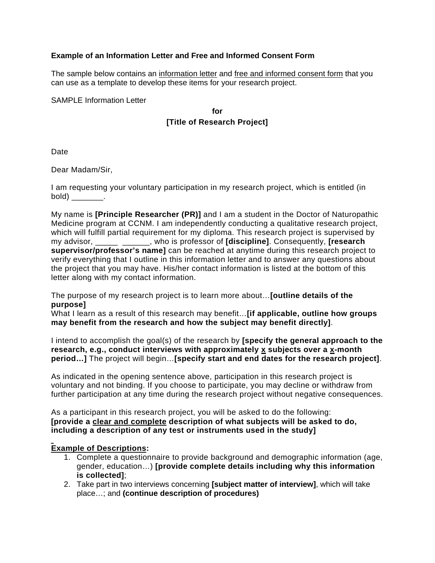### **Example of an Information Letter and Free and Informed Consent Form**

The sample below contains an information letter and free and informed consent form that you can use as a template to develop these items for your research project.

SAMPLE Information Letter

**for [Title of Research Project]**

Date

Dear Madam/Sir,

I am requesting your voluntary participation in my research project, which is entitled (in  $bold)$  \_\_\_\_\_\_\_\_.

My name is **[Principle Researcher (PR)]** and I am a student in the Doctor of Naturopathic Medicine program at CCNM. I am independently conducting a qualitative research project, which will fulfill partial requirement for my diploma. This research project is supervised by my advisor, \_\_\_\_\_ \_\_\_\_\_\_, who is professor of **[discipline]**. Consequently, **[research supervisor/professor's name]** can be reached at anytime during this research project to verify everything that I outline in this information letter and to answer any questions about the project that you may have. His/her contact information is listed at the bottom of this letter along with my contact information.

The purpose of my research project is to learn more about…**[outline details of the purpose]** 

What I learn as a result of this research may benefit…**[if applicable, outline how groups may benefit from the research and how the subject may benefit directly]**.

I intend to accomplish the goal(s) of the research by **[specify the general approach to the research, e.g., conduct interviews with approximately x subjects over a x-month period…]** The project will begin…**[specify start and end dates for the research project]**.

As indicated in the opening sentence above, participation in this research project is voluntary and not binding. If you choose to participate, you may decline or withdraw from further participation at any time during the research project without negative consequences.

As a participant in this research project, you will be asked to do the following: **[provide a clear and complete description of what subjects will be asked to do, including a description of any test or instruments used in the study]**

## **Example of Descriptions:**

- 1. Complete a questionnaire to provide background and demographic information (age, gender, education…) **[provide complete details including why this information is collected]**;
- 2. Take part in two interviews concerning **[subject matter of interview]**, which will take place…; and **(continue description of procedures)**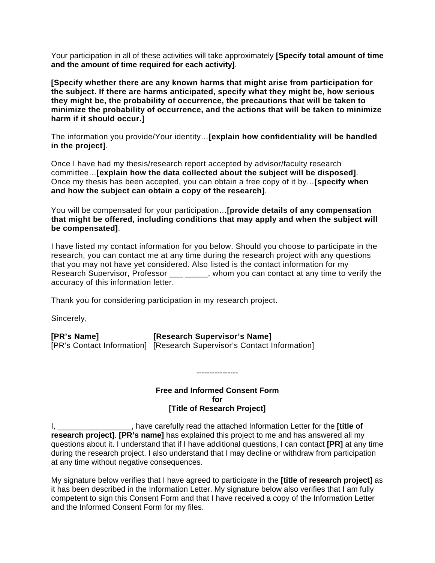Your participation in all of these activities will take approximately **[Specify total amount of time and the amount of time required for each activity]**.

**[Specify whether there are any known harms that might arise from participation for the subject. If there are harms anticipated, specify what they might be, how serious they might be, the probability of occurrence, the precautions that will be taken to minimize the probability of occurrence, and the actions that will be taken to minimize harm if it should occur.]**

The information you provide/Your identity…**[explain how confidentiality will be handled in the project]**.

Once I have had my thesis/research report accepted by advisor/faculty research committee…**[explain how the data collected about the subject will be disposed]**. Once my thesis has been accepted, you can obtain a free copy of it by…**[specify when and how the subject can obtain a copy of the research]**.

You will be compensated for your participation…**[provide details of any compensation that might be offered, including conditions that may apply and when the subject will be compensated]**.

I have listed my contact information for you below. Should you choose to participate in the research, you can contact me at any time during the research project with any questions that you may not have yet considered. Also listed is the contact information for my Research Supervisor, Professor \_\_\_ \_\_\_\_, whom you can contact at any time to verify the accuracy of this information letter.

Thank you for considering participation in my research project.

Sincerely,

**[PR's Name] [Research Supervisor's Name]** [PR's Contact Information] [Research Supervisor's Contact Information]

### **Free and Informed Consent Form for [Title of Research Project]**

----------------

I, \_\_\_\_\_\_\_\_\_\_\_\_\_\_\_\_\_, have carefully read the attached Information Letter for the **[title of research project]**. **[PR's name]** has explained this project to me and has answered all my questions about it. I understand that if I have additional questions, I can contact **[PR]** at any time during the research project. I also understand that I may decline or withdraw from participation at any time without negative consequences.

My signature below verifies that I have agreed to participate in the **[title of research project]** as it has been described in the Information Letter. My signature below also verifies that I am fully competent to sign this Consent Form and that I have received a copy of the Information Letter and the Informed Consent Form for my files.